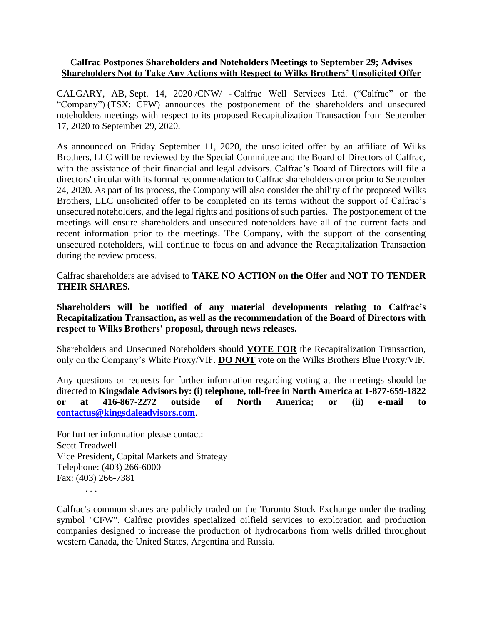## **Calfrac Postpones Shareholders and Noteholders Meetings to September 29; Advises Shareholders Not to Take Any Actions with Respect to Wilks Brothers' Unsolicited Offer**

CALGARY, AB, Sept. 14, 2020 /CNW/ - Calfrac Well Services Ltd. ("Calfrac" or the "Company") (TSX: CFW) announces the postponement of the shareholders and unsecured noteholders meetings with respect to its proposed Recapitalization Transaction from September 17, 2020 to September 29, 2020.

As announced on Friday September 11, 2020, the unsolicited offer by an affiliate of Wilks Brothers, LLC will be reviewed by the Special Committee and the Board of Directors of Calfrac, with the assistance of their financial and legal advisors. Calfrac's Board of Directors will file a directors' circular with its formal recommendation to Calfrac shareholders on or prior to September 24, 2020. As part of its process, the Company will also consider the ability of the proposed Wilks Brothers, LLC unsolicited offer to be completed on its terms without the support of Calfrac's unsecured noteholders, and the legal rights and positions of such parties. The postponement of the meetings will ensure shareholders and unsecured noteholders have all of the current facts and recent information prior to the meetings. The Company, with the support of the consenting unsecured noteholders, will continue to focus on and advance the Recapitalization Transaction during the review process.

Calfrac shareholders are advised to **TAKE NO ACTION on the Offer and NOT TO TENDER THEIR SHARES.**

**Shareholders will be notified of any material developments relating to Calfrac's Recapitalization Transaction, as well as the recommendation of the Board of Directors with respect to Wilks Brothers' proposal, through news releases.**

Shareholders and Unsecured Noteholders should **VOTE FOR** the Recapitalization Transaction, only on the Company's White Proxy/VIF. **DO NOT** vote on the Wilks Brothers Blue Proxy/VIF.

Any questions or requests for further information regarding voting at the meetings should be directed to **Kingsdale Advisors by: (i) telephone, toll-free in North America at 1-877-659-1822 or at 416-867-2272 outside of North America; or (ii) e-mail to [contactus@kingsdaleadvisors.com](mailto:contactus@kingsdaleadvisors.com)**.

For further information please contact: Scott Treadwell Vice President, Capital Markets and Strategy Telephone: (403) 266-6000 Fax: (403) 266-7381

. . .

Calfrac's common shares are publicly traded on the Toronto Stock Exchange under the trading symbol "CFW". Calfrac provides specialized oilfield services to exploration and production companies designed to increase the production of hydrocarbons from wells drilled throughout western Canada, the United States, Argentina and Russia.